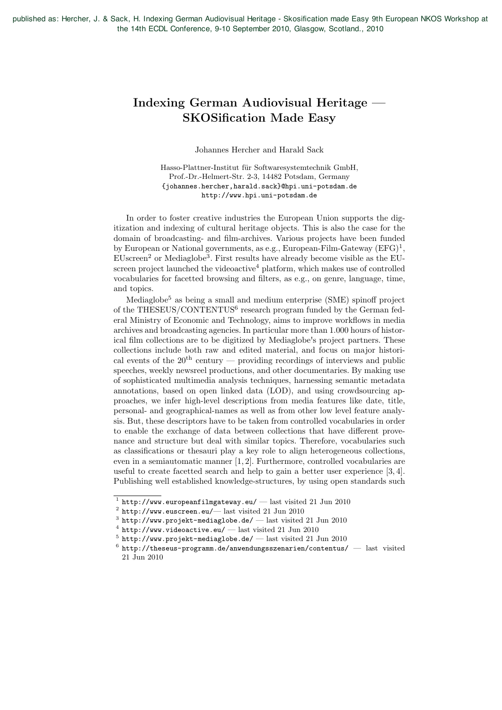published as: Hercher, J. & Sack, H. Indexing German Audiovisual Heritage - Skosification made Easy 9th European NKOS Workshop at the 14th ECDL Conference, 9-10 September 2010, Glasgow, Scotland., 2010

## Indexing German Audiovisual Heritage — SKOSification Made Easy

Johannes Hercher and Harald Sack

Hasso-Plattner-Institut für Softwaresystemtechnik GmbH, Prof.-Dr.-Helmert-Str. 2-3, 14482 Potsdam, Germany {johannes.hercher,harald.sack}@hpi.uni-potsdam.de http://www.hpi.uni-potsdam.de

In order to foster creative industries the European Union supports the digitization and indexing of cultural heritage objects. This is also the case for the domain of broadcasting- and film-archives. Various projects have been funded by European or National governments, as e.g., European-Film-Gateway  $(EFG)^1$ ,  $EUscreen<sup>2</sup>$  or Mediaglobe<sup>3</sup>. First results have already become visible as the EUscreen project launched the videoactive<sup>4</sup> platform, which makes use of controlled vocabularies for facetted browsing and filters, as e.g., on genre, language, time, and topics.

Mediaglobe<sup>5</sup> as being a small and medium enterprise (SME) spinoff project of the THESEUS/CONTENTUS $^6$  research program funded by the German federal Ministry of Economic and Technology, aims to improve workflows in media archives and broadcasting agencies. In particular more than 1.000 hours of historical film collections are to be digitized by Mediaglobe's project partners. These collections include both raw and edited material, and focus on major historical events of the  $20<sup>th</sup>$  century — providing recordings of interviews and public speeches, weekly newsreel productions, and other documentaries. By making use of sophisticated multimedia analysis techniques, harnessing semantic metadata annotations, based on open linked data (LOD), and using crowdsourcing approaches, we infer high-level descriptions from media features like date, title, personal- and geographical-names as well as from other low level feature analysis. But, these descriptors have to be taken from controlled vocabularies in order to enable the exchange of data between collections that have different provenance and structure but deal with similar topics. Therefore, vocabularies such as classifications or thesauri play a key role to align heterogeneous collections, even in a semiautomatic manner [1, 2]. Furthermore, controlled vocabularies are useful to create facetted search and help to gain a better user experience [3, 4]. Publishing well established knowledge-structures, by using open standards such

 $^{\rm 1}$ http://www.europeanfilmgateway.eu/ — last visited 21 Jun 2010

 $2$  http://www.euscreen.eu/— last visited 21 Jun 2010

 $^3$ http://www.projekt-mediaglobe.de/ — last visited 21 Jun 2010

 $^4$ http://www.videoactive.eu/ — last visited 21 Jun 2010

 $^5$ http://www.projekt-mediaglobe.de/ — last visited 21 Jun 2010

 $6$  http://theseus-programm.de/anwendungsszenarien/contentus/  $-$  last visited 21 Jun 2010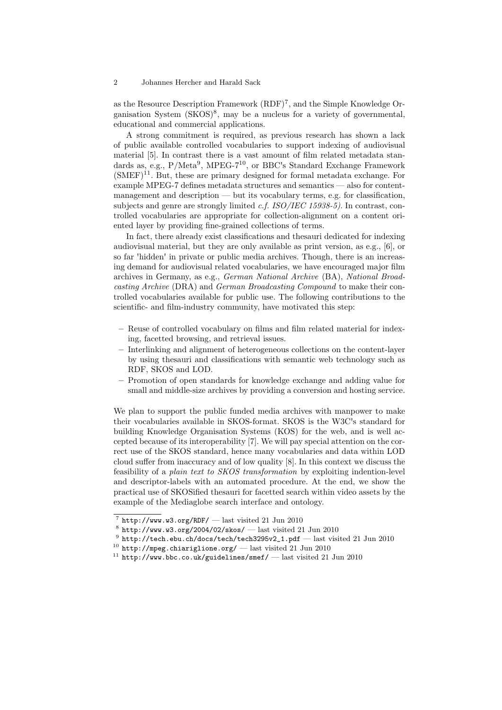## 2 Johannes Hercher and Harald Sack

as the Resource Description Framework (RDF)7, and the Simple Knowledge Organisation System  $(SKOS)^8$ , may be a nucleus for a variety of governmental, educational and commercial applications.

A strong commitment is required, as previous research has shown a lack of public available controlled vocabularies to support indexing of audiovisual material [5]. In contrast there is a vast amount of film related metadata standards as, e.g., P/Meta<sup>9</sup>, MPEG-7<sup>10</sup>, or BBC's Standard Exchange Framework  $(SMEF)^{11}$ . But, these are primary designed for formal metadata exchange. For example MPEG-7 defines metadata structures and semantics — also for contentmanagement and description — but its vocabulary terms, e.g. for classification, subjects and genre are strongly limited *c.f. ISO/IEC 15938-5)*. In contrast, controlled vocabularies are appropriate for collection-alignment on a content oriented layer by providing fine-grained collections of terms.

In fact, there already exist classifications and thesauri dedicated for indexing audiovisual material, but they are only available as print version, as e.g., [6], or so far 'hidden' in private or public media archives. Though, there is an increasing demand for audiovisual related vocabularies, we have encouraged major film archives in Germany, as e.g., *German National Archive* (BA), *National Broadcasting Archive* (DRA) and *German Broadcasting Compound* to make their controlled vocabularies available for public use. The following contributions to the scientific- and film-industry community, have motivated this step:

- Reuse of controlled vocabulary on films and film related material for indexing, facetted browsing, and retrieval issues.
- Interlinking and alignment of heterogeneous collections on the content-layer by using thesauri and classifications with semantic web technology such as RDF, SKOS and LOD.
- Promotion of open standards for knowledge exchange and adding value for small and middle-size archives by providing a conversion and hosting service.

We plan to support the public funded media archives with manpower to make their vocabularies available in SKOS-format. SKOS is the W3C's standard for building Knowledge Organisation Systems (KOS) for the web, and is well accepted because of its interoperability [7]. We will pay special attention on the correct use of the SKOS standard, hence many vocabularies and data within LOD cloud suffer from inaccuracy and of low quality [8]. In this context we discuss the feasibility of a *plain text to SKOS transformation* by exploiting indention-level and descriptor-labels with an automated procedure. At the end, we show the practical use of SKOSified thesauri for facetted search within video assets by the example of the Mediaglobe search interface and ontology.

 $^7$ http://www.w3.org/RDF/ — last visited 21 Jun 2010

 $^8$ http://www.w3.org/2004/02/skos/ — last visited 21 Jun 2010

 $9$  http://tech.ebu.ch/docs/tech/tech3295v2\_1.pdf — last visited 21 Jun 2010

 $^{10}$  http://mpeg.chiariglione.org/ - last visited 21 Jun 2010

 $^{11}$  http://www.bbc.co.uk/guidelines/smef/ — last visited 21 Jun 2010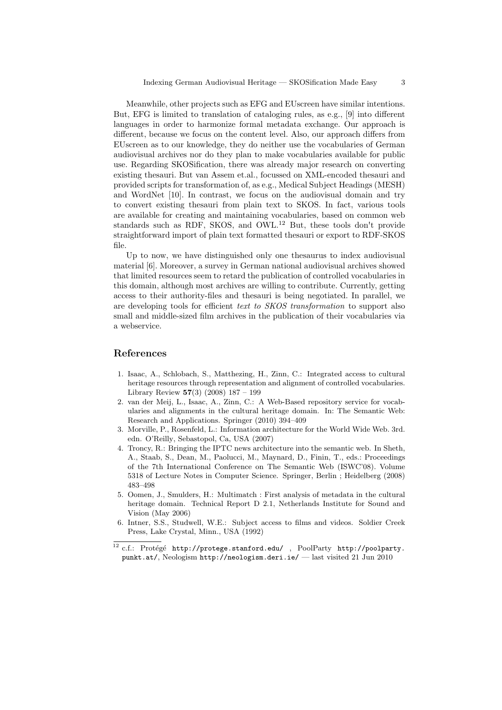Meanwhile, other projects such as EFG and EUscreen have similar intentions. But, EFG is limited to translation of cataloging rules, as e.g., [9] into different languages in order to harmonize formal metadata exchange. Our approach is different, because we focus on the content level. Also, our approach differs from EUscreen as to our knowledge, they do neither use the vocabularies of German audiovisual archives nor do they plan to make vocabularies available for public use. Regarding SKOSification, there was already major research on converting existing thesauri. But van Assem et.al., focussed on XML-encoded thesauri and provided scripts for transformation of, as e.g., Medical Subject Headings (MESH) and WordNet [10]. In contrast, we focus on the audiovisual domain and try to convert existing thesauri from plain text to SKOS. In fact, various tools are available for creating and maintaining vocabularies, based on common web standards such as RDF, SKOS, and OWL.<sup>12</sup> But, these tools don't provide straightforward import of plain text formatted thesauri or export to RDF-SKOS file.

Up to now, we have distinguished only one thesaurus to index audiovisual material [6]. Moreover, a survey in German national audiovisual archives showed that limited resources seem to retard the publication of controlled vocabularies in this domain, although most archives are willing to contribute. Currently, getting access to their authority-files and thesauri is being negotiated. In parallel, we are developing tools for efficient *text to SKOS transformation* to support also small and middle-sized film archives in the publication of their vocabularies via a webservice.

## References

- 1. Isaac, A., Schlobach, S., Matthezing, H., Zinn, C.: Integrated access to cultural heritage resources through representation and alignment of controlled vocabularies. Library Review  $57(3)$   $(2008)$   $187 - 199$
- 2. van der Meij, L., Isaac, A., Zinn, C.: A Web-Based repository service for vocabularies and alignments in the cultural heritage domain. In: The Semantic Web: Research and Applications. Springer (2010) 394–409
- 3. Morville, P., Rosenfeld, L.: Information architecture for the World Wide Web. 3rd. edn. O'Reilly, Sebastopol, Ca, USA (2007)
- 4. Troncy, R.: Bringing the IPTC news architecture into the semantic web. In Sheth, A., Staab, S., Dean, M., Paolucci, M., Maynard, D., Finin, T., eds.: Proceedings of the 7th International Conference on The Semantic Web (ISWC'08). Volume 5318 of Lecture Notes in Computer Science. Springer, Berlin ; Heidelberg (2008) 483–498
- 5. Oomen, J., Smulders, H.: Multimatch : First analysis of metadata in the cultural heritage domain. Technical Report D 2.1, Netherlands Institute for Sound and Vision (May 2006)
- 6. Intner, S.S., Studwell, W.E.: Subject access to films and videos. Soldier Creek Press, Lake Crystal, Minn., USA (1992)
- $12$  c.f.: Protégé http://protege.stanford.edu/, PoolParty http://poolparty. punkt.at/, Neologism http://neologism.deri.ie/ — last visited 21 Jun 2010